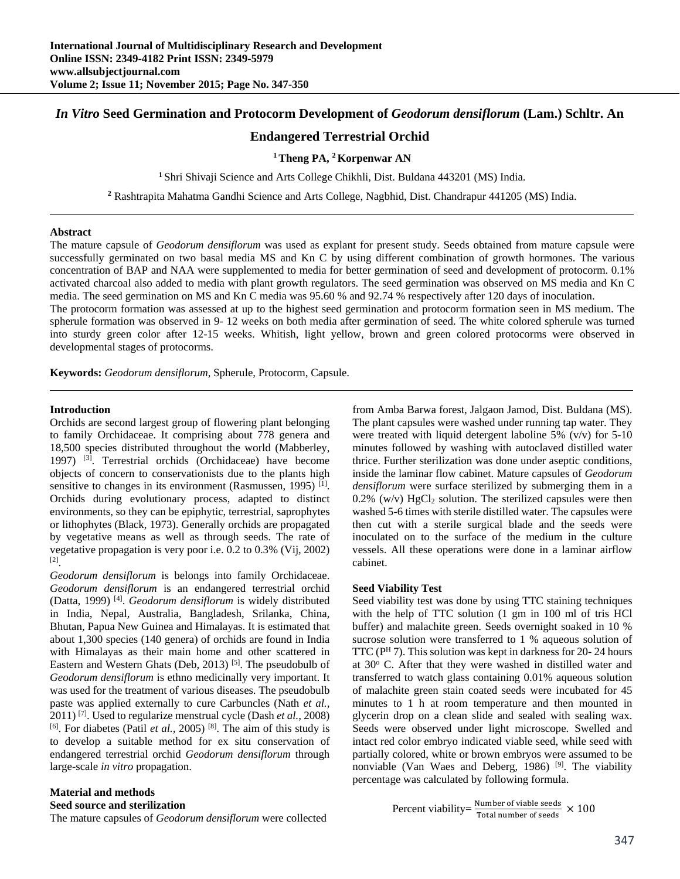# *In Vitro* **Seed Germination and Protocorm Development of** *Geodorum densiflorum* **(Lam.) Schltr. An**

# **Endangered Terrestrial Orchid**

## **1 Theng PA, 2 Korpenwar AN**

**<sup>1</sup>**Shri Shivaji Science and Arts College Chikhli, Dist. Buldana 443201 (MS) India.

**<sup>2</sup>** Rashtrapita Mahatma Gandhi Science and Arts College, Nagbhid, Dist. Chandrapur 441205 (MS) India.

#### **Abstract**

The mature capsule of *Geodorum densiflorum* was used as explant for present study. Seeds obtained from mature capsule were successfully germinated on two basal media MS and Kn C by using different combination of growth hormones. The various concentration of BAP and NAA were supplemented to media for better germination of seed and development of protocorm. 0.1% activated charcoal also added to media with plant growth regulators. The seed germination was observed on MS media and Kn C media. The seed germination on MS and Kn C media was 95.60 % and 92.74 % respectively after 120 days of inoculation.

The protocorm formation was assessed at up to the highest seed germination and protocorm formation seen in MS medium. The spherule formation was observed in 9- 12 weeks on both media after germination of seed. The white colored spherule was turned into sturdy green color after 12-15 weeks. Whitish, light yellow, brown and green colored protocorms were observed in developmental stages of protocorms.

**Keywords:** *Geodorum densiflorum*, Spherule, Protocorm, Capsule.

#### **Introduction**

Orchids are second largest group of flowering plant belonging to family Orchidaceae. It comprising about 778 genera and 18,500 species distributed throughout the world (Mabberley, 1997) [3]. Terrestrial orchids (Orchidaceae) have become objects of concern to conservationists due to the plants high sensitive to changes in its environment (Rasmussen, 1995)<sup>[1]</sup>. Orchids during evolutionary process, adapted to distinct environments, so they can be epiphytic, terrestrial, saprophytes or lithophytes (Black, 1973). Generally orchids are propagated by vegetative means as well as through seeds. The rate of vegetative propagation is very poor i.e. 0.2 to 0.3% (Vij, 2002) [2].

*Geodorum densiflorum* is belongs into family Orchidaceae. *Geodorum densiflorum* is an endangered terrestrial orchid (Datta, 1999) [4]. *Geodorum densiflorum* is widely distributed in India, Nepal, Australia, Bangladesh, Srilanka, China, Bhutan, Papua New Guinea and Himalayas. It is estimated that about 1,300 species (140 genera) of orchids are found in India with Himalayas as their main home and other scattered in Eastern and Western Ghats (Deb, 2013)<sup>[5]</sup>. The pseudobulb of *Geodorum densiflorum* is ethno medicinally very important. It was used for the treatment of various diseases. The pseudobulb paste was applied externally to cure Carbuncles (Nath *et al.,*  2011) [7]. Used to regularize menstrual cycle (Dash *et al.,* 2008)  $[6]$ . For diabetes (Patil *et al.*, 2005)<sup>[8]</sup>. The aim of this study is to develop a suitable method for ex situ conservation of endangered terrestrial orchid *Geodorum densiflorum* through large-scale *in vitro* propagation.

#### **Material and methods**

**Seed source and sterilization** 

The mature capsules of *Geodorum densiflorum* were collected

from Amba Barwa forest, Jalgaon Jamod, Dist. Buldana (MS). The plant capsules were washed under running tap water. They were treated with liquid detergent laboline 5% (v/v) for 5-10 minutes followed by washing with autoclaved distilled water thrice. Further sterilization was done under aseptic conditions, inside the laminar flow cabinet. Mature capsules of *Geodorum densiflorum* were surface sterilized by submerging them in a  $0.2\%$  (w/v) HgCl<sub>2</sub> solution. The sterilized capsules were then washed 5-6 times with sterile distilled water. The capsules were then cut with a sterile surgical blade and the seeds were inoculated on to the surface of the medium in the culture vessels. All these operations were done in a laminar airflow cabinet.

#### **Seed Viability Test**

Seed viability test was done by using TTC staining techniques with the help of TTC solution (1 gm in 100 ml of tris HCl buffer) and malachite green. Seeds overnight soaked in 10 % sucrose solution were transferred to 1 % aqueous solution of TTC ( $P<sup>H</sup>$ 7). This solution was kept in darkness for 20-24 hours at 30° C. After that they were washed in distilled water and transferred to watch glass containing 0.01% aqueous solution of malachite green stain coated seeds were incubated for 45 minutes to 1 h at room temperature and then mounted in glycerin drop on a clean slide and sealed with sealing wax. Seeds were observed under light microscope. Swelled and intact red color embryo indicated viable seed, while seed with partially colored, white or brown embryos were assumed to be nonviable (Van Waes and Deberg, 1986) [9]. The viability percentage was calculated by following formula.

Percent viability = 
$$
\frac{\text{Number of viable seeds}}{\text{Total number of seeds}} \times 100
$$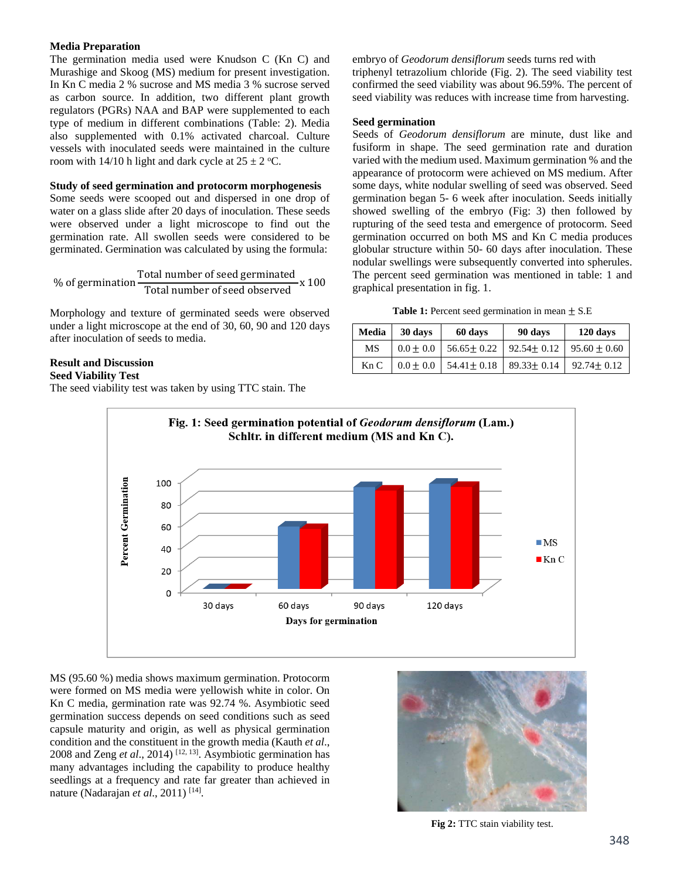# **Media Preparation**

The germination media used were Knudson C (Kn C) and Murashige and Skoog (MS) medium for present investigation. In Kn C media 2 % sucrose and MS media 3 % sucrose served as carbon source. In addition, two different plant growth regulators (PGRs) NAA and BAP were supplemented to each type of medium in different combinations (Table: 2). Media also supplemented with 0.1% activated charcoal. Culture vessels with inoculated seeds were maintained in the culture room with 14/10 h light and dark cycle at  $25 \pm 2$  °C.

## **Study of seed germination and protocorm morphogenesis**

Some seeds were scooped out and dispersed in one drop of water on a glass slide after 20 days of inoculation. These seeds were observed under a light microscope to find out the germination rate. All swollen seeds were considered to be germinated. Germination was calculated by using the formula:

$$
\%
$$
 of germination  $\frac{\text{Total number of seed germinated}}{\text{Total number of seed observed}} \times 100$ 

Morphology and texture of germinated seeds were observed under a light microscope at the end of 30, 60, 90 and 120 days after inoculation of seeds to media.

# **Result and Discussion**

## **Seed Viability Test**

The seed viability test was taken by using TTC stain. The

embryo of *Geodorum densiflorum* seeds turns red with triphenyl tetrazolium chloride (Fig. 2). The seed viability test confirmed the seed viability was about 96.59%. The percent of seed viability was reduces with increase time from harvesting.

#### **Seed germination**

Seeds of *Geodorum densiflorum* are minute, dust like and fusiform in shape. The seed germination rate and duration varied with the medium used. Maximum germination % and the appearance of protocorm were achieved on MS medium. After some days, white nodular swelling of seed was observed. Seed germination began 5- 6 week after inoculation. Seeds initially showed swelling of the embryo (Fig: 3) then followed by rupturing of the seed testa and emergence of protocorm. Seed germination occurred on both MS and Kn C media produces globular structure within 50- 60 days after inoculation. These nodular swellings were subsequently converted into spherules. The percent seed germination was mentioned in table: 1 and graphical presentation in fig. 1.

| <b>Table 1:</b> Percent seed germination in mean $\pm$ S.E |  |  |  |
|------------------------------------------------------------|--|--|--|
|------------------------------------------------------------|--|--|--|

| Media | 30 days<br>60 days |                  | 90 days          | 120 days         |  |
|-------|--------------------|------------------|------------------|------------------|--|
| MS    | $0.0 \pm 0.0$      | $56.65 \pm 0.22$ | $92.54 \pm 0.12$ | $95.60 \pm 0.60$ |  |
| Kn C  | $0.0 \pm 0.0$      | $54.41 \pm 0.18$ | $89.33 \pm 0.14$ | $92.74 + 0.12$   |  |



MS (95.60 %) media shows maximum germination. Protocorm were formed on MS media were yellowish white in color. On Kn C media, germination rate was 92.74 %. Asymbiotic seed germination success depends on seed conditions such as seed capsule maturity and origin, as well as physical germination condition and the constituent in the growth media (Kauth *et al*., 2008 and Zeng *et al*., 2014) [12, 13]. Asymbiotic germination has many advantages including the capability to produce healthy seedlings at a frequency and rate far greater than achieved in nature (Nadarajan et al., 2011)<sup>[14]</sup>.



**Fig 2:** TTC stain viability test.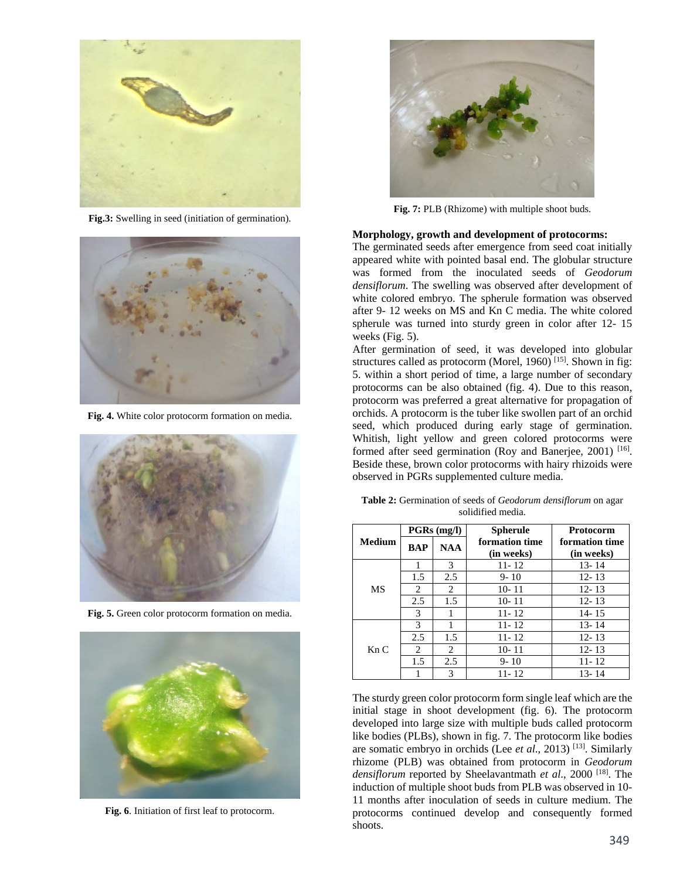

**Fig.3:** Swelling in seed (initiation of germination).



**Fig. 4.** White color protocorm formation on media.



**Fig. 5.** Green color protocorm formation on media.



**Fig. 6**. Initiation of first leaf to protocorm.



**Fig. 7:** PLB (Rhizome) with multiple shoot buds.

#### **Morphology, growth and development of protocorms:**

The germinated seeds after emergence from seed coat initially appeared white with pointed basal end. The globular structure was formed from the inoculated seeds of *Geodorum densiflorum*. The swelling was observed after development of white colored embryo. The spherule formation was observed after 9- 12 weeks on MS and Kn C media. The white colored spherule was turned into sturdy green in color after 12- 15 weeks (Fig. 5).

After germination of seed, it was developed into globular structures called as protocorm (Morel, 1960)  $^{[15]}$ . Shown in fig: 5. within a short period of time, a large number of secondary protocorms can be also obtained (fig. 4). Due to this reason, protocorm was preferred a great alternative for propagation of orchids. A protocorm is the tuber like swollen part of an orchid seed, which produced during early stage of germination. Whitish, light yellow and green colored protocorms were formed after seed germination (Roy and Banerjee, 2001) [16]. Beside these, brown color protocorms with hairy rhizoids were observed in PGRs supplemented culture media.

**Table 2:** Germination of seeds of *Geodorum densiflorum* on agar solidified media.

|               | PGRs (mg/l) |            | <b>Spherule</b> | <b>Protocorm</b> |
|---------------|-------------|------------|-----------------|------------------|
| <b>Medium</b> | <b>BAP</b>  | <b>NAA</b> | formation time  | formation time   |
|               |             |            | (in weeks)      | (in weeks)       |
| MS            |             | 3          | $11 - 12$       | $13 - 14$        |
|               | 1.5         | 2.5        | $9 - 10$        | $12 - 13$        |
|               | 2           | 2          | $10 - 11$       | $12 - 13$        |
|               | 2.5         | 1.5        | $10 - 11$       | $12 - 13$        |
|               | 3           |            | $11 - 12$       | $14 - 15$        |
| KnC           | 3           |            | $11 - 12$       | $13 - 14$        |
|               | 2.5         | 1.5        | $11 - 12$       | $12 - 13$        |
|               | 2           | 2          | $10 - 11$       | $12 - 13$        |
|               | 1.5         | 2.5        | $9 - 10$        | $11 - 12$        |
|               |             | 3          | 11-12           | 13-14            |

The sturdy green color protocorm form single leaf which are the initial stage in shoot development (fig. 6). The protocorm developed into large size with multiple buds called protocorm like bodies (PLBs), shown in fig. 7. The protocorm like bodies are somatic embryo in orchids (Lee *et al*., 2013) [13]. Similarly rhizome (PLB) was obtained from protocorm in *Geodorum densiflorum* reported by Sheelavantmath *et al*., 2000 [18]. The induction of multiple shoot buds from PLB was observed in 10- 11 months after inoculation of seeds in culture medium. The protocorms continued develop and consequently formed shoots.